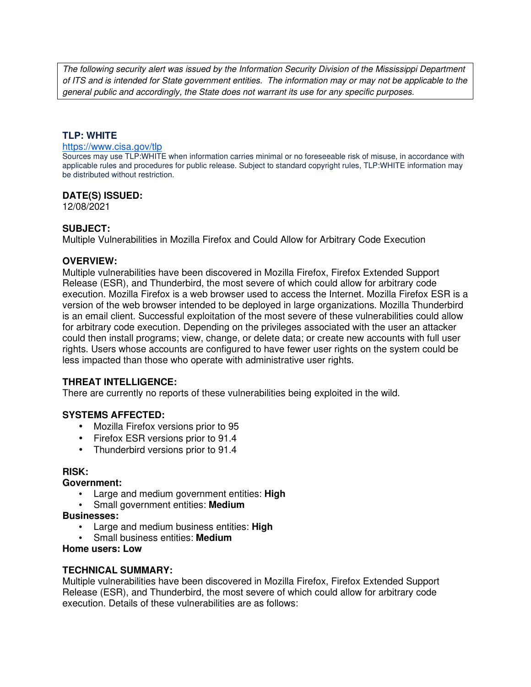The following security alert was issued by the Information Security Division of the Mississippi Department of ITS and is intended for State government entities. The information may or may not be applicable to the general public and accordingly, the State does not warrant its use for any specific purposes.

# **TLP: WHITE**

#### https://www.cisa.gov/tlp

Sources may use TLP:WHITE when information carries minimal or no foreseeable risk of misuse, in accordance with applicable rules and procedures for public release. Subject to standard copyright rules, TLP:WHITE information may be distributed without restriction.

# **DATE(S) ISSUED:**

12/08/2021

### **SUBJECT:**

Multiple Vulnerabilities in Mozilla Firefox and Could Allow for Arbitrary Code Execution

### **OVERVIEW:**

Multiple vulnerabilities have been discovered in Mozilla Firefox, Firefox Extended Support Release (ESR), and Thunderbird, the most severe of which could allow for arbitrary code execution. Mozilla Firefox is a web browser used to access the Internet. Mozilla Firefox ESR is a version of the web browser intended to be deployed in large organizations. Mozilla Thunderbird is an email client. Successful exploitation of the most severe of these vulnerabilities could allow for arbitrary code execution. Depending on the privileges associated with the user an attacker could then install programs; view, change, or delete data; or create new accounts with full user rights. Users whose accounts are configured to have fewer user rights on the system could be less impacted than those who operate with administrative user rights.

# **THREAT INTELLIGENCE:**

There are currently no reports of these vulnerabilities being exploited in the wild.

# **SYSTEMS AFFECTED:**

- Mozilla Firefox versions prior to 95
- Firefox ESR versions prior to 91.4
- Thunderbird versions prior to 91.4

#### **RISK:**

#### **Government:**

- Large and medium government entities: **High**
- Small government entities: **Medium**

#### **Businesses:**

- Large and medium business entities: **High**
- Small business entities: **Medium**

### **Home users: Low**

# **TECHNICAL SUMMARY:**

Multiple vulnerabilities have been discovered in Mozilla Firefox, Firefox Extended Support Release (ESR), and Thunderbird, the most severe of which could allow for arbitrary code execution. Details of these vulnerabilities are as follows: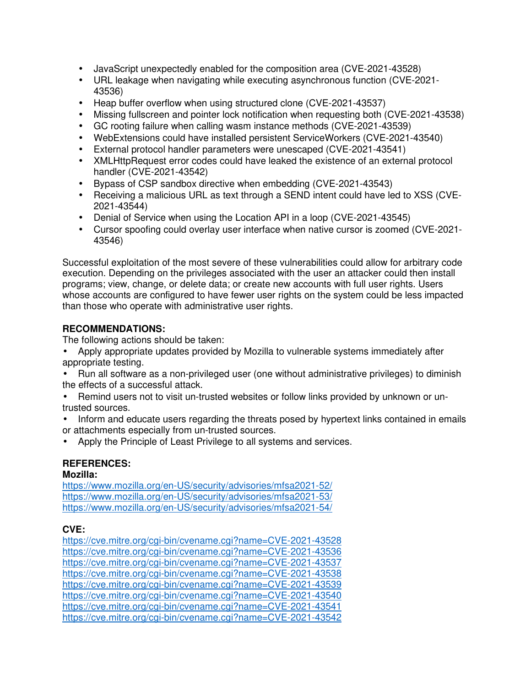- JavaScript unexpectedly enabled for the composition area (CVE-2021-43528)
- URL leakage when navigating while executing asynchronous function (CVE-2021- 43536)
- Heap buffer overflow when using structured clone (CVE-2021-43537)
- Missing fullscreen and pointer lock notification when requesting both (CVE-2021-43538)
- GC rooting failure when calling wasm instance methods (CVE-2021-43539)
- WebExtensions could have installed persistent ServiceWorkers (CVE-2021-43540)
- External protocol handler parameters were unescaped (CVE-2021-43541)
- XMLHttpRequest error codes could have leaked the existence of an external protocol handler (CVE-2021-43542)
- Bypass of CSP sandbox directive when embedding (CVE-2021-43543)
- Receiving a malicious URL as text through a SEND intent could have led to XSS (CVE-2021-43544)
- Denial of Service when using the Location API in a loop (CVE-2021-43545)
- Cursor spoofing could overlay user interface when native cursor is zoomed (CVE-2021- 43546)

Successful exploitation of the most severe of these vulnerabilities could allow for arbitrary code execution. Depending on the privileges associated with the user an attacker could then install programs; view, change, or delete data; or create new accounts with full user rights. Users whose accounts are configured to have fewer user rights on the system could be less impacted than those who operate with administrative user rights.

# **RECOMMENDATIONS:**

The following actions should be taken:

- Apply appropriate updates provided by Mozilla to vulnerable systems immediately after appropriate testing.
- Run all software as a non-privileged user (one without administrative privileges) to diminish the effects of a successful attack.
- Remind users not to visit un-trusted websites or follow links provided by unknown or untrusted sources.
- Inform and educate users regarding the threats posed by hypertext links contained in emails or attachments especially from un-trusted sources.
- Apply the Principle of Least Privilege to all systems and services.

# **REFERENCES:**

# **Mozilla:**

https://www.mozilla.org/en-US/security/advisories/mfsa2021-52/ https://www.mozilla.org/en-US/security/advisories/mfsa2021-53/ https://www.mozilla.org/en-US/security/advisories/mfsa2021-54/

# **CVE:**

https://cve.mitre.org/cgi-bin/cvename.cgi?name=CVE-2021-43528 https://cve.mitre.org/cgi-bin/cvename.cgi?name=CVE-2021-43536 https://cve.mitre.org/cgi-bin/cvename.cgi?name=CVE-2021-43537 https://cve.mitre.org/cgi-bin/cvename.cgi?name=CVE-2021-43538 https://cve.mitre.org/cgi-bin/cvename.cgi?name=CVE-2021-43539 https://cve.mitre.org/cgi-bin/cvename.cgi?name=CVE-2021-43540 https://cve.mitre.org/cgi-bin/cvename.cgi?name=CVE-2021-43541 https://cve.mitre.org/cgi-bin/cvename.cgi?name=CVE-2021-43542